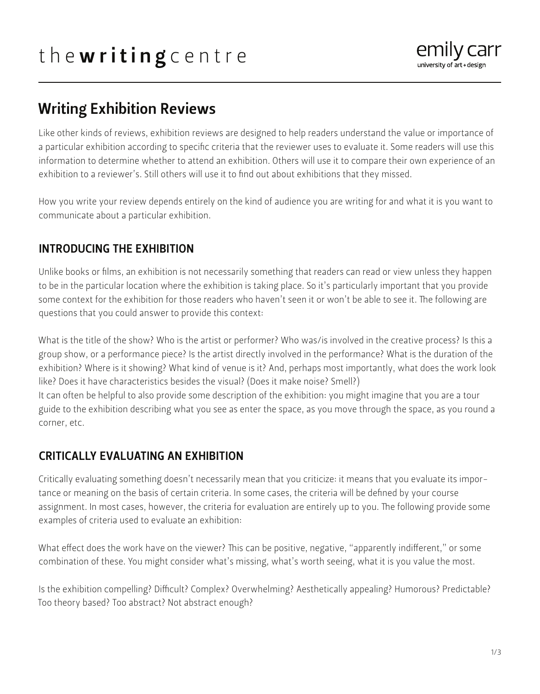

# Writing Exhibition Reviews

Like other kinds of reviews, exhibition reviews are designed to help readers understand the value or importance of a particular exhibition according to specific criteria that the reviewer uses to evaluate it. Some readers will use this information to determine whether to attend an exhibition. Others will use it to compare their own experience of an exhibition to a reviewer's. Still others will use it to find out about exhibitions that they missed.

How you write your review depends entirely on the kind of audience you are writing for and what it is you want to communicate about a particular exhibition.

## INTRODUCING THE EXHIBITION

Unlike books or films, an exhibition is not necessarily something that readers can read or view unless they happen to be in the particular location where the exhibition is taking place. So it's particularly important that you provide some context for the exhibition for those readers who haven't seen it or won't be able to see it. The following are questions that you could answer to provide this context:

What is the title of the show? Who is the artist or performer? Who was/is involved in the creative process? Is this a group show, or a performance piece? Is the artist directly involved in the performance? What is the duration of the exhibition? Where is it showing? What kind of venue is it? And, perhaps most importantly, what does the work look like? Does it have characteristics besides the visual? (Does it make noise? Smell?)

It can often be helpful to also provide some description of the exhibition: you might imagine that you are a tour guide to the exhibition describing what you see as enter the space, as you move through the space, as you round a corner, etc.

## CRITICALLY EVALUATING AN EXHIBITION

Critically evaluating something doesn't necessarily mean that you criticize: it means that you evaluate its importance or meaning on the basis of certain criteria. In some cases, the criteria will be defined by your course assignment. In most cases, however, the criteria for evaluation are entirely up to you. The following provide some examples of criteria used to evaluate an exhibition:

What effect does the work have on the viewer? This can be positive, negative, "apparently indifferent," or some combination of these. You might consider what's missing, what's worth seeing, what it is you value the most.

Is the exhibition compelling? Difficult? Complex? Overwhelming? Aesthetically appealing? Humorous? Predictable? Too theory based? Too abstract? Not abstract enough?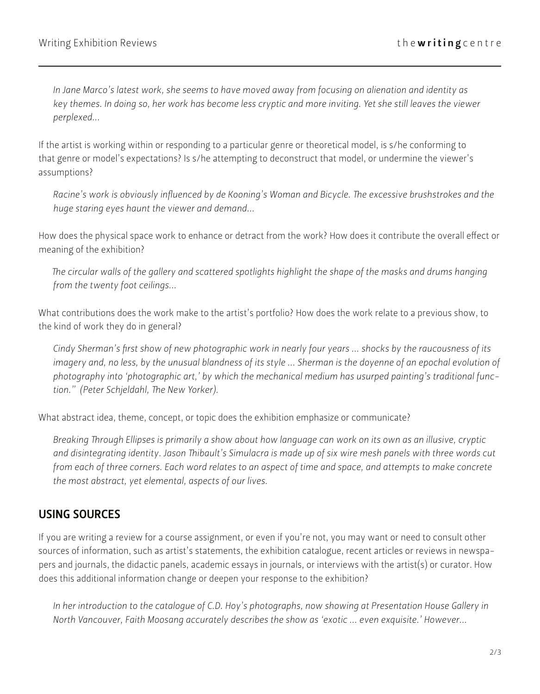*In Jane Marco's latest work, she seems to have moved away from focusing on alienation and identity as key themes. In doing so, her work has become less cryptic and more inviting. Yet she still leaves the viewer perplexed...*

If the artist is working within or responding to a particular genre or theoretical model, is s/he conforming to that genre or model's expectations? Is s/he attempting to deconstruct that model, or undermine the viewer's assumptions?

*Racine's work is obviously influenced by de Kooning's Woman and Bicycle. The excessive brushstrokes and the huge staring eyes haunt the viewer and demand...*

How does the physical space work to enhance or detract from the work? How does it contribute the overall effect or meaning of the exhibition?

*The circular walls of the gallery and scattered spotlights highlight the shape of the masks and drums hanging from the twenty foot ceilings...*

What contributions does the work make to the artist's portfolio? How does the work relate to a previous show, to the kind of work they do in general?

*Cindy Sherman's first show of new photographic work in nearly four years ... shocks by the raucousness of its imagery and, no less, by the unusual blandness of its style ... Sherman is the doyenne of an epochal evolution of photography into 'photographic art,' by which the mechanical medium has usurped painting's traditional function." (Peter Schjeldahl, The New Yorker).*

What abstract idea, theme, concept, or topic does the exhibition emphasize or communicate?

*Breaking Through Ellipses is primarily a show about how language can work on its own as an illusive, cryptic and disintegrating identity. Jason Thibault's Simulacra is made up of six wire mesh panels with three words cut from each of three corners. Each word relates to an aspect of time and space, and attempts to make concrete the most abstract, yet elemental, aspects of our lives.*

### USING SOURCES

If you are writing a review for a course assignment, or even if you're not, you may want or need to consult other sources of information, such as artist's statements, the exhibition catalogue, recent articles or reviews in newspapers and journals, the didactic panels, academic essays in journals, or interviews with the artist(s) or curator. How does this additional information change or deepen your response to the exhibition?

In her introduction to the catalogue of C.D. Hoy's photographs, now showing at Presentation House Gallery in *North Vancouver, Faith Moosang accurately describes the show as 'exotic ... even exquisite.' However...*